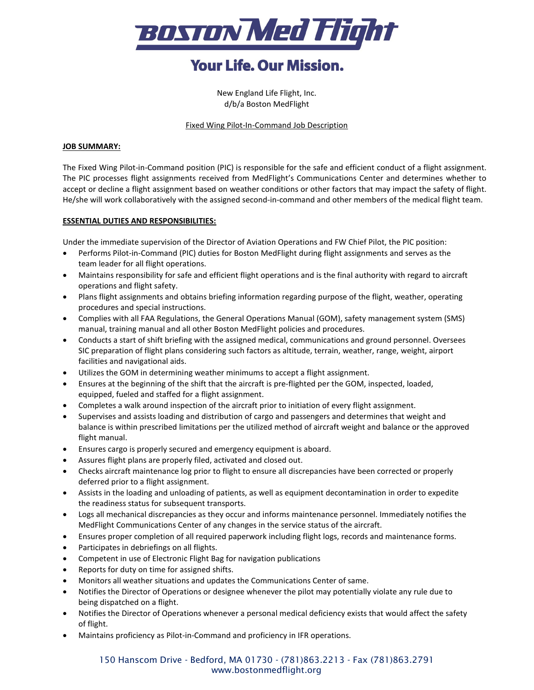

# **Your Life, Our Mission.**

New England Life Flight, Inc. d/b/a Boston MedFlight

Fixed Wing Pilot-In-Command Job Description

### **JOB SUMMARY:**

The Fixed Wing Pilot-in-Command position (PIC) is responsible for the safe and efficient conduct of a flight assignment. The PIC processes flight assignments received from MedFlight's Communications Center and determines whether to accept or decline a flight assignment based on weather conditions or other factors that may impact the safety of flight. He/she will work collaboratively with the assigned second-in-command and other members of the medical flight team.

## **ESSENTIAL DUTIES AND RESPONSIBILITIES:**

Under the immediate supervision of the Director of Aviation Operations and FW Chief Pilot, the PIC position:

- Performs Pilot-in-Command (PIC) duties for Boston MedFlight during flight assignments and serves as the team leader for all flight operations.
- Maintains responsibility for safe and efficient flight operations and is the final authority with regard to aircraft operations and flight safety.
- Plans flight assignments and obtains briefing information regarding purpose of the flight, weather, operating procedures and special instructions.
- Complies with all FAA Regulations, the General Operations Manual (GOM), safety management system (SMS) manual, training manual and all other Boston MedFlight policies and procedures.
- Conducts a start of shift briefing with the assigned medical, communications and ground personnel. Oversees SIC preparation of flight plans considering such factors as altitude, terrain, weather, range, weight, airport facilities and navigational aids.
- Utilizes the GOM in determining weather minimums to accept a flight assignment.
- Ensures at the beginning of the shift that the aircraft is pre-flighted per the GOM, inspected, loaded, equipped, fueled and staffed for a flight assignment.
- Completes a walk around inspection of the aircraft prior to initiation of every flight assignment.
- Supervises and assists loading and distribution of cargo and passengers and determines that weight and balance is within prescribed limitations per the utilized method of aircraft weight and balance or the approved flight manual.
- Ensures cargo is properly secured and emergency equipment is aboard.
- Assures flight plans are properly filed, activated and closed out.
- Checks aircraft maintenance log prior to flight to ensure all discrepancies have been corrected or properly deferred prior to a flight assignment.
- Assists in the loading and unloading of patients, as well as equipment decontamination in order to expedite the readiness status for subsequent transports.
- Logs all mechanical discrepancies as they occur and informs maintenance personnel. Immediately notifies the MedFlight Communications Center of any changes in the service status of the aircraft.
- Ensures proper completion of all required paperwork including flight logs, records and maintenance forms.
- Participates in debriefings on all flights.
- Competent in use of Electronic Flight Bag for navigation publications
- Reports for duty on time for assigned shifts.
- Monitors all weather situations and updates the Communications Center of same.
- Notifies the Director of Operations or designee whenever the pilot may potentially violate any rule due to being dispatched on a flight.
- Notifies the Director of Operations whenever a personal medical deficiency exists that would affect the safety of flight.
- Maintains proficiency as Pilot-in-Command and proficiency in IFR operations.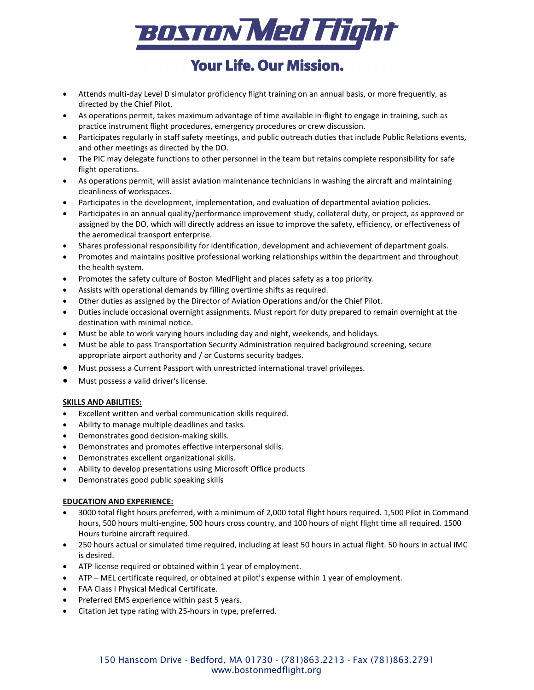

# **Your Life. Our Mission.**

- Attends multi-day Level D simulator proficiency flight training on an annual basis, or more frequently, as directed by the Chief Pilot.
- As operations permit, takes maximum advantage of time available in-flight to engage in training, such as practice instrument flight procedures, emergency procedures or crew discussion.
- Participates regularly in staff safety meetings, and public outreach duties that include Public Relations events, and other meetings as directed by the DO.
- The PIC may delegate functions to other personnel in the team but retains complete responsibility for safe flight operations.
- As operations permit, will assist aviation maintenance technicians in washing the aircraft and maintaining cleanliness of workspaces.
- Participates in the development, implementation, and evaluation of departmental aviation policies.
- Participates in an annual quality/performance improvement study, collateral duty, or project, as approved or assigned by the DO, which will directly address an issue to improve the safety, efficiency, or effectiveness of the aeromedical transport enterprise.
- Shares professional responsibility for identification, development and achievement of department goals.
- Promotes and maintains positive professional working relationships within the department and throughout the health system.
- Promotes the safety culture of Boston MedFlight and places safety as a top priority.
- Assists with operational demands by filling overtime shifts as required.
- Other duties as assigned by the Director of Aviation Operations and/or the Chief Pilot.
- Duties include occasional overnight assignments. Must report for duty prepared to remain overnight at the destination with minimal notice.
- Must be able to work varying hours including day and night, weekends, and holidays.
- Must be able to pass Transportation Security Administration required background screening, secure appropriate airport authority and / or Customs security badges.
- Must possess a Current Passport with unrestricted international travel privileges.
- Must possess a valid driver's license.

### **SKILLS AND ABILITIES:**

- Excellent written and verbal communication skills required.
- Ability to manage multiple deadlines and tasks.
- Demonstrates good decision-making skills.
- Demonstrates and promotes effective interpersonal skills.
- Demonstrates excellent organizational skills.
- Ability to develop presentations using Microsoft Office products
- Demonstrates good public speaking skills

### **EDUCATION AND EXPERIENCE:**

- 3000 total flight hours preferred, with a minimum of 2,000 total flight hours required. 1,500 Pilot in Command hours, 500 hours multi-engine, 500 hours cross country, and 100 hours of night flight time all required. 1500 Hours turbine aircraft required.
- 250 hours actual or simulated time required, including at least 50 hours in actual flight. 50 hours in actual IMC is desired.
- ATP license required or obtained within 1 year of employment.
- ATP MEL certificate required, or obtained at pilot's expense within 1 year of employment.
- FAA Class I Physical Medical Certificate.
- Preferred EMS experience within past 5 years.
- Citation Jet type rating with 25-hours in type, preferred.